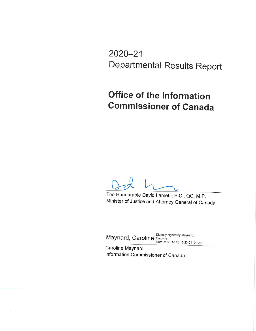$2020 - 21$ **Departmental Results Report** 

# **Office of the Information Commissioner of Canada**

The Honourable David Lametti, P.C., QC, M.P. Minister of Justice and Attorney General of Canada

Maynard, Caroline Digitally signed by Maynard,<br>Date: 2021.10.28 16:23:01 -04'00'

Caroline Maynard Information Commissioner of Canada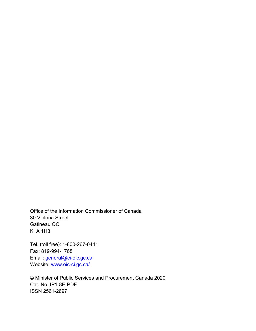Office of the Information Commissioner of Canada 30 Victoria Street Gatineau QC K1A 1H3

Tel. (toll free): 1-800-267-0441 Fax: 819-994-1768 Email: [general@ci-oic.gc.ca](mailto:general@ci-oic.gc.ca) Website: [www.oic-ci.gc.ca/](http://www.oic-ci.gc.ca/)

© Minister of Public Services and Procurement Canada 2020 Cat. No. IP1-8E-PDF ISSN 2561-2697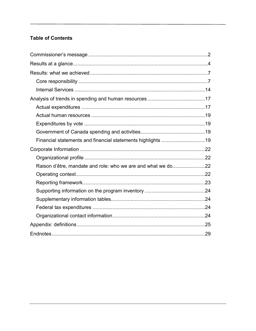### **Table of Contents**

| Financial statements and financial statements highlights 19  |  |
|--------------------------------------------------------------|--|
|                                                              |  |
|                                                              |  |
| Raison d'être, mandate and role: who we are and what we do22 |  |
|                                                              |  |
|                                                              |  |
|                                                              |  |
|                                                              |  |
|                                                              |  |
|                                                              |  |
|                                                              |  |
|                                                              |  |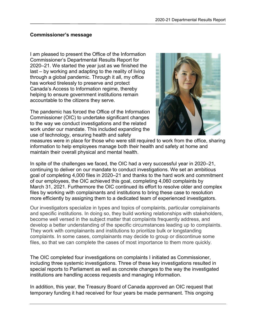#### <span id="page-3-0"></span>**Commissioner's message**

I am pleased to present the Office of the Information Commissioner's Departmental Results Report for 2020–21. We started the year just as we finished the last – by working and adapting to the reality of living through a global pandemic. Through it all, my office has worked tirelessly to preserve and protect Canada's Access to Information regime, thereby helping to ensure government institutions remain accountable to the citizens they serve.

The pandemic has forced the Office of the Information Commissioner (OIC) to undertake significant changes to the way we conduct investigations and the related work under our mandate. This included expanding the use of technology, ensuring health and safety



measures were in place for those who were still required to work from the office, sharing information to help employees manage both their health and safety at home and maintain their overall physical and mental health.

In spite of the challenges we faced, the OIC had a very successful year in 2020–21, continuing to deliver on our mandate to conduct investigations. We set an ambitious goal of completing 4,000 files in 2020–21 and thanks to the hard work and commitment of our employees, the OIC achieved this goal, completing 4,060 complaints by March 31, 2021. Furthermore the OIC continued its effort to resolve older and complex files by working with complainants and institutions to bring these case to resolution more efficiently by assigning them to a dedicated team of experienced investigators.

Our investigators specialize in types and topics of complaints, particular complainants and specific institutions. In doing so, they build working relationships with stakeholders, become well versed in the subject matter that complaints frequently address, and develop a better understanding of the specific circumstances leading up to complaints. They work with complainants and institutions to prioritize bulk or longstanding complaints. In some cases, complainants may decide to group or discontinue some files, so that we can complete the cases of most importance to them more quickly.

The OIC completed four investigations on complaints I initiated as Commissioner, including three systemic investigations. Three of these key investigations resulted in special reports to Parliament as well as concrete changes to the way the investigated institutions are handling access requests and managing information.

In addition, this year, the Treasury Board of Canada approved an OIC request that temporary funding it had received for four years be made permanent. This ongoing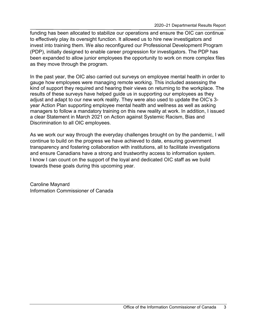funding has been allocated to stabilize our operations and ensure the OIC can continue to effectively play its oversight function. It allowed us to hire new investigators and invest into training them. We also reconfigured our Professional Development Program (PDP), initially designed to enable career progression for investigators. The PDP has been expanded to allow junior employees the opportunity to work on more complex files as they move through the program.

In the past year, the OIC also carried out surveys on employee mental health in order to gauge how employees were managing remote working. This included assessing the kind of support they required and hearing their views on returning to the workplace. The results of these surveys have helped guide us in supporting our employees as they adjust and adapt to our new work reality. They were also used to update the OIC's 3 year Action Plan supporting employee mental health and wellness as well as asking managers to follow a mandatory training on this new reality at work. In addition, I issued a clear Statement in March 2021 on Action against Systemic Racism, Bias and Discrimination to all OIC employees.

As we work our way through the everyday challenges brought on by the pandemic, I will continue to build on the progress we have achieved to date, ensuring government transparency and fostering collaboration with institutions, all to facilitate investigations and ensure Canadians have a strong and trustworthy access to information system. I know I can count on the support of the loyal and dedicated OIC staff as we build towards these goals during this upcoming year.

Caroline Maynard Information Commissioner of Canada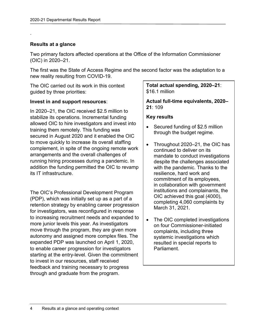### <span id="page-5-0"></span>**Results at a glance**

.

Two primary factors affected operations at the Office of the Information Commissioner (OIC) in 2020–21.

The first was the State of Access Regime and the second factor was the adaptation to a new reality resulting from COVID-19.

The OIC carried out its work in this context guided by three priorities:

### **Invest in and support resources**:

In 2020–21, the OIC received \$2.5 million to stabilize its operations. Incremental funding allowed OIC to hire investigators and invest into training them remotely. This funding was secured in August 2020 and it enabled the OIC to move quickly to increase its overall staffing complement, in spite of the ongoing remote work arrangements and the overall challenges of running hiring processes during a pandemic. In addition the funding permitted the OIC to revamp its IT infrastructure.

The OIC's Professional Development Program (PDP), which was initially set up as a part of a retention strategy by enabling career progression for investigators, was reconfigured in response to increasing recruitment needs and expanded to more junior levels this year. As investigators move through the program, they are given more autonomy and assigned more complex files. The expanded PDP was launched on April 1, 2020, to enable career progression for investigators starting at the entry-level. Given the commitment to invest in our resources, staff received feedback and training necessary to progress through and graduate from the program.

### **Total actual spending, 2020–21**: \$16.1 million

**Actual full-time equivalents, 2020– 21**: 109

#### **Key results**

- Secured funding of \$2.5 million through the budget regime.
- Throughout 2020–21, the OIC has continued to deliver on its mandate to conduct investigations despite the challenges associated with the pandemic. Thanks to the resilience, hard work and commitment of its employees, in collaboration with government institutions and complainants, the OIC achieved this goal (4000), completing 4,060 complaints by March 31, 2021.
- The OIC completed investigations on four Commissioner-initiated complaints, including three systemic investigations which resulted in special reports to Parliament.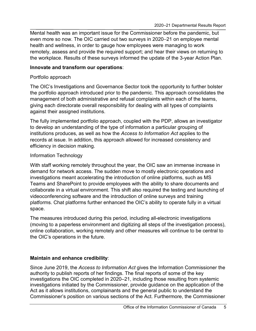Mental health was an important issue for the Commissioner before the pandemic, but even more so now. The OIC carried out two surveys in 2020–21 on employee mental health and wellness, in order to gauge how employees were managing to work remotely, assess and provide the required support; and hear their views on returning to the workplace. Results of these surveys informed the update of the 3-year Action Plan.

### **Innovate and transform our operations**:

### Portfolio approach

The OIC's Investigations and Governance Sector took the opportunity to further bolster the portfolio approach introduced prior to the pandemic. This approach consolidates the management of both administrative and refusal complaints within each of the teams, giving each directorate overall responsibility for dealing with all types of complaints against their assigned institutions.

The fully implemented portfolio approach, coupled with the PDP, allows an investigator to develop an understanding of the type of information a particular grouping of institutions produces, as well as how the *Access to Information Act* applies to the records at issue. In addition, this approach allowed for increased consistency and efficiency in decision making.

### Information Technology

With staff working remotely throughout the year, the OIC saw an immense increase in demand for network access. The sudden move to mostly electronic operations and investigations meant accelerating the introduction of online platforms, such as MS Teams and SharePoint to provide employees with the ability to share documents and collaborate in a virtual environment. This shift also required the testing and launching of videoconferencing software and the introduction of online surveys and training platforms. Chat platforms further enhanced the OIC's ability to operate fully in a virtual space.

The measures introduced during this period, including all-electronic investigations (moving to a paperless environment and digitizing all steps of the investigation process), online collaboration, working remotely and other measures will continue to be central to the OIC's operations in the future.

### **Maintain and enhance credibility**:

Since June 2019, the *Access to Information Act* gives the Information Commissioner the authority to publish reports of her findings. The final reports of some of the key investigations the OIC completed in 2020–21, including those resulting from systemic investigations initiated by the Commissioner, provide guidance on the application of the Act as it allows institutions, complainants and the general public to understand the Commissioner's position on various sections of the Act. Furthermore, the Commissioner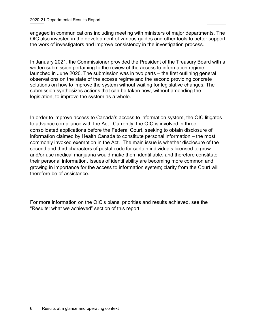engaged in communications including meeting with ministers of major departments. The OIC also invested in the development of various guides and other tools to better support the work of investigators and improve consistency in the investigation process.

In January 2021, the Commissioner provided the President of the Treasury Board with a written submission pertaining to the review of the access to information regime launched in June 2020. The submission was in two parts – the first outlining general observations on the state of the access regime and the second providing concrete solutions on how to improve the system without waiting for legislative changes. The submission synthesizes actions that can be taken now, without amending the legislation, to improve the system as a whole.

In order to improve access to Canada's access to information system, the OIC litigates to advance compliance with the Act. Currently, the OIC is involved in three consolidated applications before the Federal Court, seeking to obtain disclosure of information claimed by Health Canada to constitute personal information – the most commonly invoked exemption in the Act. The main issue is whether disclosure of the second and third characters of postal code for certain individuals licensed to grow and/or use medical marijuana would make them identifiable, and therefore constitute their personal information. Issues of identifiability are becoming more common and growing in importance for the access to information system; clarity from the Court will therefore be of assistance.

For more information on the OIC's plans, priorities and results achieved, see the "Results: what we achieved" section of this report.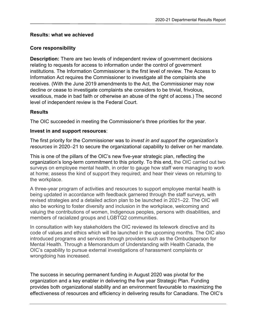### <span id="page-8-0"></span>**Results: what we achieved**

#### <span id="page-8-1"></span>**Core responsibility**

**Description:** There are two levels of independent review of government decisions relating to requests for access to information under the control of government institutions. The Information Commissioner is the first level of review. The Access to Information Act requires the Commissioner to investigate all the complaints she receives. (With the June 2019 amendments to the Act, the Commissioner may now decline or cease to investigate complaints she considers to be trivial, frivolous, vexatious, made in bad faith or otherwise an abuse of the right of access.) The second level of independent review is the Federal Court.

### **Results**

The OIC succeeded in meeting the Commissioner's three priorities for the year.

### **Invest in and support resources**:

The first priority for the Commissioner was to *invest in and support the organization's resources* in 2020–21 to secure the organizational capability to deliver on her mandate.

This is one of the pillars of the OIC's new five-year strategic plan, reflecting the organization's long-term commitment to this priority. To this end, the OIC carried out two surveys on employee mental health, in order to gauge how staff were managing to work at home; assess the kind of support they required; and hear their views on returning to the workplace.

A three-year program of activities and resources to support employee mental health is being updated in accordance with feedback garnered through the staff surveys, with revised strategies and a detailed action plan to be launched in 2021–22. The OIC will also be working to foster diversity and inclusion in the workplace, welcoming and valuing the contributions of women, Indigenous peoples, persons with disabilities, and members of racialized groups and LGBTQ2 communities.

In consultation with key stakeholders the OIC reviewed its telework directive and its code of values and ethics which will be launched in the upcoming months. The OIC also introduced programs and services through providers such as the Ombudsperson for Mental Health. Through a Memorandum of Understanding with Health Canada, the OIC's capability to pursue external investigations of harassment complaints or wrongdoing has increased.

The success in securing permanent funding in August 2020 was pivotal for the organization and a key enabler in delivering the five year Strategic Plan. Funding provides both organizational stability and an environment favourable to maximizing the effectiveness of resources and efficiency in delivering results for Canadians. The OIC's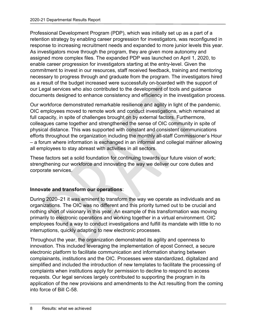Professional Development Program (PDP), which was initially set up as a part of a retention strategy by enabling career progression for investigators, was reconfigured in response to increasing recruitment needs and expanded to more junior levels this year. As investigators move through the program, they are given more autonomy and assigned more complex files. The expanded PDP was launched on April 1, 2020, to enable career progression for investigators starting at the entry-level. Given the commitment to invest in our resources, staff received feedback, training and mentoring necessary to progress through and graduate from the program. The investigators hired as a result of the budget increased were successfully on-boarded with the support of our Legal services who also contributed to the development of tools and guidance documents designed to enhance consistency and efficiency in the investigation process.

Our workforce demonstrated remarkable resilience and agility in light of the pandemic. OIC employees moved to remote work and conduct investigations, which remained at full capacity, in spite of challenges brought on by external factors. Furthermore, colleagues came together and strengthened the sense of OIC community in spite of physical distance. This was supported with constant and consistent communications efforts throughout the organization including the monthly all-staff Commissioner's Hour – a forum where information is exchanged in an informal and collegial manner allowing all employees to stay abreast with activities in all sectors.

These factors set a solid foundation for continuing towards our future vision of work; strengthening our workforce and innovating the way we deliver our core duties and corporate services.

### **Innovate and transform our operations**:

During 2020–21 it was eminent to transform the way we operate as individuals and as organizations. The OIC was no different and this priority turned out to be crucial and nothing short of visionary in this year. An example of this transformation was moving primarily to electronic operations and working together in a virtual environment. OIC employees found a way to conduct investigations and fulfill its mandate with little to no interruptions, quickly adapting to new electronic processes.

Throughout the year, the organization demonstrated its agility and openness to innovation. This included leveraging the implementation of epost Connect, a secure electronic platform to facilitate communication and information sharing between complainants, institutions and the OIC. Processes were standardized, digitalized and simplified and included the introduction of new templates to facilitate the processing of complaints when institutions apply for permission to decline to respond to access requests. Our legal services largely contributed to supporting the program in its application of the new provisions and amendments to the Act resulting from the coming into force of Bill C-58.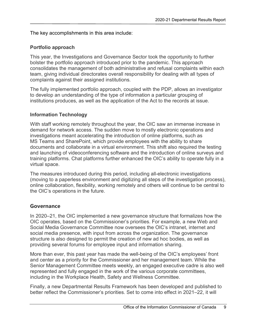The key accomplishments in this area include:

### **Portfolio approach**

This year, the Investigations and Governance Sector took the opportunity to further bolster the portfolio approach introduced prior to the pandemic. This approach consolidates the management of both administrative and refusal complaints within each team, giving individual directorates overall responsibility for dealing with all types of complaints against their assigned institutions.

The fully implemented portfolio approach, coupled with the PDP, allows an investigator to develop an understanding of the type of information a particular grouping of institutions produces, as well as the application of the Act to the records at issue.

### **Information Technology**

With staff working remotely throughout the year, the OIC saw an immense increase in demand for network access. The sudden move to mostly electronic operations and investigations meant accelerating the introduction of online platforms, such as MS Teams and SharePoint, which provide employees with the ability to share documents and collaborate in a virtual environment. This shift also required the testing and launching of videoconferencing software and the introduction of online surveys and training platforms. Chat platforms further enhanced the OIC's ability to operate fully in a virtual space.

The measures introduced during this period, including all-electronic investigations (moving to a paperless environment and digitizing all steps of the investigation process), online collaboration, flexibility, working remotely and others will continue to be central to the OIC's operations in the future.

### **Governance**

In 2020–21, the OIC implemented a new governance structure that formalizes how the OIC operates, based on the Commissioner's priorities. For example, a new Web and Social Media Governance Committee now oversees the OIC's intranet, internet and social media presence, with input from across the organization. The governance structure is also designed to permit the creation of new ad hoc bodies, as well as providing several forums for employee input and information sharing.

More than ever, this past year has made the well-being of the OIC's employees' front and center as a priority for the Commissioner and her management team. While the Senior Management Committee meets weekly, an engaged executive cadre is also well represented and fully engaged in the work of the various corporate committees, including in the Workplace Health, Safety and Wellness Committee.

Finally, a new Departmental Results Framework has been developed and published to better reflect the Commissioner's priorities. Set to come into effect in 2021–22, it will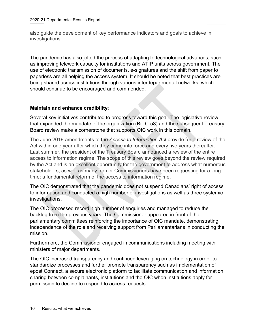also guide the development of key performance indicators and goals to achieve in investigations.

The pandemic has also jolted the process of adapting to technological advances, such as improving telework capacity for institutions and ATIP units across government. The use of electronic transmission of documents, e-signatures and the shift from paper to paperless are all helping the access system. It should be noted that best practices are being shared across institutions through various interdepartmental networks, which should continue to be encouraged and commended.

### **Maintain and enhance credibility**:

Several key initiatives contributed to progress toward this goal. The legislative review that expanded the mandate of the organization (Bill C-58) and the subsequent Treasury Board review make a cornerstone that supports OIC work in this domain.

The June 2019 amendments to the *Access to Information Act* provide for a review of the Act within one year after which they came into force and every five years thereafter. Last summer, the president of the Treasury Board announced a review of the entire access to information regime. The scope of this review goes beyond the review required by the Act and is an excellent opportunity for the government to address what numerous stakeholders, as well as many former Commissioners have been requesting for a long time: a fundamental reform of the access to information regime.

The OIC demonstrated that the pandemic does not suspend Canadians' right of access to information and conducted a high number of investigations as well as three systemic investigations.

The OIC processed record high number of enquiries and managed to reduce the backlog from the previous years. The Commissioner appeared in front of the parliamentary committees reinforcing the importance of OIC mandate, demonstrating independence of the role and receiving support from Parliamentarians in conducting the mission.

Furthermore, the Commissioner engaged in communications including meeting with ministers of major departments.

The OIC increased transparency and continued leveraging on technology in order to standardize processes and further promote transparency such as implementation of epost Connect, a secure electronic platform to facilitate communication and information sharing between complainants, institutions and the OIC when institutions apply for permission to decline to respond to access requests.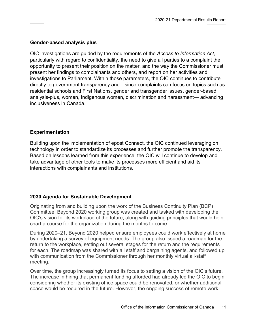### **Gender-based analysis plus**

OIC investigations are guided by the requirements of the *Access to Information Act*, particularly with regard to confidentiality, the need to give all parties to a complaint the opportunity to present their position on the matter, and the way the Commissioner must present her findings to complainants and others, and report on her activities and investigations to Parliament. Within those parameters, the OIC continues to contribute directly to government transparency and—since complaints can focus on topics such as residential schools and First Nations, gender and transgender issues, gender-based analysis-plus, women, Indigenous women, discrimination and harassment— advancing inclusiveness in Canada.

### **Experimentation**

Building upon the implementation of epost Connect, the OIC continued leveraging on technology in order to standardize its processes and further promote the transparency. Based on lessons learned from this experience, the OIC will continue to develop and take advantage of other tools to make its processes more efficient and aid its interactions with complainants and institutions.

### **2030 Agenda for Sustainable Development**

Originating from and building upon the work of the Business Continuity Plan (BCP) Committee, Beyond 2020 working group was created and tasked with developing the OIC's vision for its workplace of the future, along with guiding principles that would help chart a course for the organization during the months to come.

During 2020–21, Beyond 2020 helped ensure employees could work effectively at home by undertaking a survey of equipment needs. The group also issued a roadmap for the return to the workplace, setting out several stages for the return and the requirements for each. The roadmap was shared with all staff and bargaining agents, and followed up with communication from the Commissioner through her monthly virtual all-staff meeting.

Over time, the group increasingly turned its focus to setting a vision of the OIC's future. The increase in hiring that permanent funding afforded had already led the OIC to begin considering whether its existing office space could be renovated, or whether additional space would be required in the future. However, the ongoing success of remote work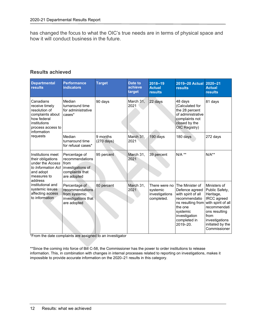has changed the focus to what the OIC's true needs are in terms of physical space and how it will conduct business in the future.

### **Results achieved**

| <b>Departmental</b><br><b>results</b>                                                                                                                                                                        | <b>Performance</b><br><b>indicators</b>                                                 | <b>Target</b>                    | Date to<br>achieve<br>target | 2018-19<br><b>Actual</b><br><b>results</b>                | 2019-20 Actual<br><b>results</b>                                                                                                                                  | $2020 - 21$<br><b>Actual</b><br><b>results</b>                                                                                                                                  |
|--------------------------------------------------------------------------------------------------------------------------------------------------------------------------------------------------------------|-----------------------------------------------------------------------------------------|----------------------------------|------------------------------|-----------------------------------------------------------|-------------------------------------------------------------------------------------------------------------------------------------------------------------------|---------------------------------------------------------------------------------------------------------------------------------------------------------------------------------|
| Canadians<br>receive timely<br>resolution of<br>complaints about<br>how federal<br>institutions<br>process access to<br>information<br>requests                                                              | Median<br>turnaround time<br>for administrative<br>cases*                               | 90 days                          | March 31,<br>2021            | 22 days                                                   | 48 days<br>(Calculated for<br>the 28 percent<br>of administrative<br>complaints not<br>closed by the<br>OIC Registry)                                             | 81 days                                                                                                                                                                         |
|                                                                                                                                                                                                              | Median<br>turnaround time<br>for refusal cases*                                         | 9 months<br>$(270 \text{ days})$ | March 31,<br>2021            | 190 days                                                  | 180 days                                                                                                                                                          | 272 days                                                                                                                                                                        |
| Institutions meet<br>their obligations<br>under the Access I from<br>to Information Act<br>and adopt<br>measures to<br>address<br>institutional and<br>systemic issues<br>affecting access<br>to information | Percentage of<br>recommendations<br>investigations of<br>complaints that<br>are adopted | 95 percent                       | March 31,<br>2021            | 39 percent                                                | $N/A$ **                                                                                                                                                          | $N/A**$                                                                                                                                                                         |
|                                                                                                                                                                                                              | Percentage of<br>recommendations<br>from systemic<br>investigations that<br>are adopted | 80 percent                       | March 31.<br>2021            | There were no<br>systemic<br>investigations<br>completed. | The Minister of<br>Defence agreed<br>with spirit of all<br>recommendatio<br>ns resulting from<br>the one<br>systemic<br>investigation<br>completed in<br>2019-20. | Ministers of<br>Public Safety,<br>Heritage,<br>IRCC agreed<br>with spirit of all<br>recommendati<br>ons resulting<br>from<br>investigations<br>initiated by the<br>Commissioner |

\*From the date complaints are assigned to an investigator

\*\*Since the coming into force of Bill C-58, the Commissioner has the power to order institutions to release information. This, in combination with changes in internal processes related to reporting on investigations, makes it impossible to provide accurate information on the 2020–21 results in this category.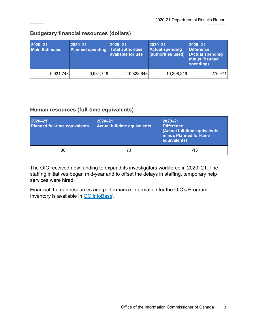| 2020-21<br><b>Main Estimates</b> | $2020 - 21$<br><b>Planned spending Total authorities</b> | 2020-21<br>available for use | 2020-21<br><b>Actual spending</b><br>(authorities used) | $2020 - 21$<br><b>Difference</b><br><b>Actual spending</b><br>minus Planned<br>spending) |
|----------------------------------|----------------------------------------------------------|------------------------------|---------------------------------------------------------|------------------------------------------------------------------------------------------|
| 9,931,748                        | 9,931,748                                                | 10,828,643                   | 10,208,219                                              | 276,471                                                                                  |

### **Budgetary financial resources (dollars)**

### **Human resources (full-time equivalents)**

| 2020-21<br><b>Planned full-time equivalents</b> | 2020-21<br>Actual full-time equivalents | $2020 - 21$<br><b>Difference</b><br>(Actual full-time equivalents<br><b>minus Planned full-time</b><br>equivalents) |
|-------------------------------------------------|-----------------------------------------|---------------------------------------------------------------------------------------------------------------------|
| 86                                              | 73                                      | $-13$                                                                                                               |

The OIC received new funding to expand its investigators workforce in 2020–21. The staffing initiatives began mid-year and to offset the delays in staffing, temporary help services were hired.

Financial, human resources and performance information for the OIC's Program Inventory is available in <u>GC InfoBase<sup>i</sup>.</u>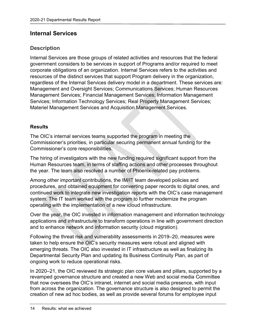### <span id="page-15-0"></span>**Internal Services**

### **Description**

Internal Services are those groups of related activities and resources that the federal government considers to be services in support of Programs and/or required to meet corporate obligations of an organization. Internal Services refers to the activities and resources of the distinct services that support Program delivery in the organization, regardless of the Internal Services delivery model in a department. These services are: Management and Oversight Services; Communications Services; Human Resources Management Services; Financial Management Services; Information Management Services; Information Technology Services; Real Property Management Services; Materiel Management Services and Acquisition Management Services.

### **Results**

The OIC's internal services teams supported the program in meeting the Commissioner's priorities, in particular securing permanent annual funding for the Commissioner's core responsibilities.

The hiring of investigators with the new funding required significant support from the Human Resources team, in terms of staffing actions and other processes throughout the year. The team also resolved a number of Phoenix-related pay problems.

Among other important contributions, the IM/IT team developed policies and procedures, and obtained equipment for converting paper records to digital ones, and continued work to integrate new investigation reports with the OIC's case management system. The IT team worked with the program to further modernize the program operating with the implementation of a new icloud infrastructure.

Over the year, the OIC invested in information management and information technology applications and infrastructure to transform operations in line with government direction and to enhance network and information security (cloud migration).

Following the threat risk and vulnerability assessments in 2019–20, measures were taken to help ensure the OIC's security measures were robust and aligned with emerging threats. The OIC also invested in IT infrastructure as well as finalizing its Departmental Security Plan and updating its Business Continuity Plan, as part of ongoing work to reduce operational risks.

In 2020–21, the OIC reviewed its strategic plan core values and pillars, supported by a revamped governance structure and created a new Web and social media Committee that now oversees the OIC's intranet, internet and social media presence, with input from across the organization. The governance structure is also designed to permit the creation of new ad hoc bodies, as well as provide several forums for employee input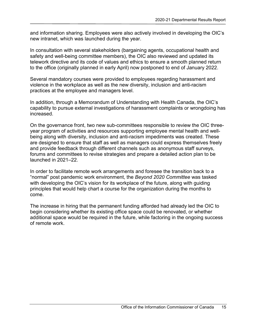and information sharing. Employees were also actively involved in developing the OIC's new intranet, which was launched during the year.

In consultation with several stakeholders (bargaining agents, occupational health and safety and well-being committee members), the OIC also reviewed and updated its telework directive and its code of values and ethics to ensure a smooth planned return to the office (originally planned in early April) now postponed to end of January 2022.

Several mandatory courses were provided to employees regarding harassment and violence in the workplace as well as the new diversity, inclusion and anti-racism practices at the employee and managers level.

In addition, through a Memorandum of Understanding with Health Canada, the OIC's capability to pursue external investigations of harassment complaints or wrongdoing has increased.

On the governance front, two new sub-committees responsible to review the OIC threeyear program of activities and resources supporting employee mental health and wellbeing along with diversity, inclusion and anti-racism impediments was created. These are designed to ensure that staff as well as managers could express themselves freely and provide feedback through different channels such as anonymous staff surveys, forums and committees to revise strategies and prepare a detailed action plan to be launched in 2021–22.

In order to facilitate remote work arrangements and foresee the transition back to a "normal" post pandemic work environment, the *Beyond 2020 Committee* was tasked with developing the OIC's vision for its workplace of the future, along with guiding principles that would help chart a course for the organization during the months to come.

The increase in hiring that the permanent funding afforded had already led the OIC to begin considering whether its existing office space could be renovated, or whether additional space would be required in the future, while factoring in the ongoing success of remote work.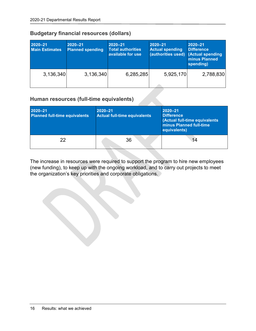| 2020-21<br><b>Main Estimates</b> | $2020 - 21$<br><b>Planned spending</b> | $2020 - 21$<br><b>Total authorities</b><br>available for use | 2020-21<br><b>Actual spending</b><br>(authorities used) (Actual spending | $2020 - 21$<br><b>Difference</b><br>minus Planned<br>spending) |
|----------------------------------|----------------------------------------|--------------------------------------------------------------|--------------------------------------------------------------------------|----------------------------------------------------------------|
| 3,136,340                        | 3,136,340                              | 6,285,285                                                    | 5,925,170                                                                | 2,788,830                                                      |

### **Budgetary financial resources (dollars)**

### **Human resources (full-time equivalents)**

| 2020-21<br><b>Planned full-time equivalents</b> | $2020 - 21$<br><b>Actual full-time equivalents</b> | 2020-21<br><b>Difference</b><br>(Actual full-time equivalents<br>minus Planned full-time<br>equivalents) |
|-------------------------------------------------|----------------------------------------------------|----------------------------------------------------------------------------------------------------------|
| 22                                              | 36                                                 | 14                                                                                                       |

The increase in resources were required to support the program to hire new employees (new funding), to keep up with the ongoing workload, and to carry out projects to meet the organization's key priorities and corporate obligations.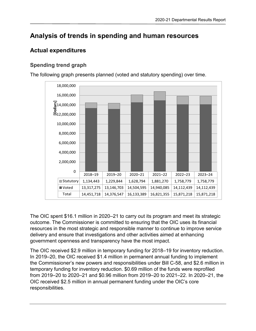# <span id="page-18-0"></span>**Analysis of trends in spending and human resources**

### <span id="page-18-1"></span>**Actual expenditures**

### **Spending trend graph**

The following graph presents planned (voted and statutory spending) over time.



The OIC spent \$16.1 million in 2020–21 to carry out its program and meet its strategic outcome. The Commissioner is committed to ensuring that the OIC uses its financial resources in the most strategic and responsible manner to continue to improve service delivery and ensure that investigations and other activities aimed at enhancing government openness and transparency have the most impact.

The OIC received \$2.9 million in temporary funding for 2018–19 for inventory reduction. In 2019–20, the OIC received \$1.4 million in permanent annual funding to implement the Commissioner's new powers and responsibilities under Bill C-58, and \$2.6 million in temporary funding for inventory reduction. \$0.69 million of the funds were reprofiled from 2019–20 to 2020–21 and \$0.96 million from 2019–20 to 2021–22. In 2020–21, the OIC received \$2.5 million in annual permanent funding under the OIC's core responsibilities.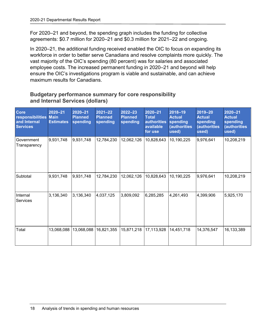For 2020–21 and beyond, the spending graph includes the funding for collective agreements: \$0.7 million for 2020–21 and \$0.3 million for 2021–22 and ongoing.

In 2020–21, the additional funding received enabled the OIC to focus on expanding its workforce in order to better serve Canadians and resolve complaints more quickly. The vast majority of the OIC's spending (80 percent) was for salaries and associated employee costs. The increased permanent funding in 2020–21 and beyond will help ensure the OIC's investigations program is viable and sustainable, and can achieve maximum results for Canadians.

### **Budgetary performance summary for core responsibility and Internal Services (dollars)**

| <b>Core</b><br>responsibilities Main<br>and Internal<br><b>Services</b> | $2020 - 21$<br><b>Estimates</b> | 2020-21<br><b>Planned</b><br>spending | $2021 - 22$<br><b>Planned</b><br>spending | $2022 - 23$<br><b>Planned</b><br>spending | 2020-21<br><b>Total</b><br>authorities<br>available<br>for use | 2018-19<br><b>Actual</b><br>spending<br>(authorities<br>used) | 2019-20<br><b>Actual</b><br>spending<br><b>(authorities</b><br>used) | 2020-21<br><b>Actual</b><br>spending<br><b>(authorities</b><br>used) |
|-------------------------------------------------------------------------|---------------------------------|---------------------------------------|-------------------------------------------|-------------------------------------------|----------------------------------------------------------------|---------------------------------------------------------------|----------------------------------------------------------------------|----------------------------------------------------------------------|
| Government<br>Transparency                                              | 9,931,748                       | 9,931,748                             | 12,784,230                                | 12,062,126                                | 10,828,643                                                     | 10,190,225                                                    | 9,976,641                                                            | 10,208,219                                                           |
| Subtotal                                                                | 9,931,748                       | 9,931,748                             | 12,784,230                                | 12,062,126                                | 10,828,643                                                     | 10,190,225                                                    | 9,976,641                                                            | 10,208,219                                                           |
| Internal<br><b>Services</b>                                             | 3,136,340                       | 3,136,340                             | 4,037,125                                 | 3,809,092                                 | 6,285,285                                                      | 4,261,493                                                     | 4,399,906                                                            | 5,925,170                                                            |
| Total                                                                   | 13,068,088                      | 13,068,088                            | 16,821,355                                | 15,871,218                                | 17,113,928                                                     | 14,451,718                                                    | 14,376,547                                                           | 16,133,389                                                           |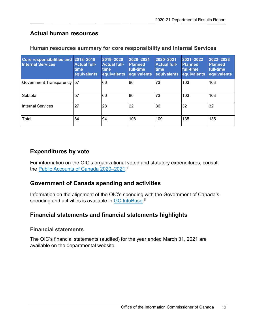### <span id="page-20-0"></span>**Actual human resources**

| <b>Core responsibilities and</b><br><b>Internal Services</b> | 2018-2019<br><b>Actual full-</b><br><b>time</b><br>equivalents | 2019-2020<br><b>Actual full-</b><br><b>time</b><br>equivalents | 2020-2021<br><b>Planned</b><br>full-time<br>equivalents | 2020-2021<br><b>Actual full-</b><br><b>time</b><br>equivalents | 2021-2022<br><b>Planned</b><br>full-time<br>equivalents | 2022-2023<br><b>Planned</b><br>full-time<br>equivalents |
|--------------------------------------------------------------|----------------------------------------------------------------|----------------------------------------------------------------|---------------------------------------------------------|----------------------------------------------------------------|---------------------------------------------------------|---------------------------------------------------------|
| Government Transparency                                      | 57                                                             | 66                                                             | 86                                                      | 73                                                             | 103                                                     | 103                                                     |
| Subtotal                                                     | 57                                                             | 66                                                             | 86                                                      | 73                                                             | 103                                                     | 103                                                     |
| <b>Internal Services</b>                                     | 27                                                             | 28                                                             | 22                                                      | 36                                                             | 32                                                      | 32                                                      |
| Total                                                        | 84                                                             | 94                                                             | 108                                                     | 109                                                            | 135                                                     | 135                                                     |

### **Human resources summary for core responsibility and Internal Services**

### <span id="page-20-1"></span>**Expenditures by vote**

For information on the OIC's organizational voted and statutory expenditures, consult the <u>Public Accounts of Canada 2020–2021</u>."

### <span id="page-20-2"></span>**Government of Canada spending and activities**

Information on the alignment of the OIC's spending with the Government of Canada's spending and activities is available in <u>GC InfoBase</u>.<sup>iii</sup>

### <span id="page-20-3"></span>**Financial statements and financial statements highlights**

### **Financial statements**

The OIC's financial statements (audited) for the year ended March 31, 2021 are available on the departmental website.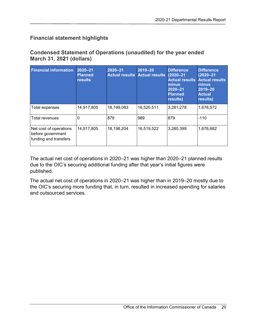### **Financial statement highlights**

### **Condensed Statement of Operations (unaudited) for the year ended March 31, 2021 (dollars)**

| <b>Financial information</b>                                         | $2020 - 21$<br><b>Planned</b><br><b>results</b> | $2020 - 21$<br><b>Actual results</b> | 2019-20<br><b>Actual results</b> | <b>Difference</b><br>$(2020 - 21)$<br><b>Actual results</b><br>minus<br>$2020 - 21$<br><b>Planned</b><br>results) | <b>Difference</b><br>$(2020 - 21)$<br><b>Actual results</b><br>minus<br>2019-20<br><b>Actual</b><br>results) |
|----------------------------------------------------------------------|-------------------------------------------------|--------------------------------------|----------------------------------|-------------------------------------------------------------------------------------------------------------------|--------------------------------------------------------------------------------------------------------------|
| Total expenses                                                       | 14,917,805                                      | 18,199,083                           | 16,520,511                       | 3,281,278                                                                                                         | 1,678,572                                                                                                    |
| Total revenues                                                       | 0                                               | 879                                  | 989                              | 879                                                                                                               | $-110$                                                                                                       |
| Net cost of operations<br>before government<br>funding and transfers | 14,917,805                                      | 18,198,204                           | 16,519,522                       | 3,280,399                                                                                                         | 1,678,682                                                                                                    |

The actual net cost of operations in 2020–21 was higher than 2020–21 planned results due to the OIC's securing additional funding after that year's initial figures were published.

The actual net cost of operations in 2020–21 was higher than in 2019–20 mostly due to the OIC's securing more funding that, in turn, resulted in increased spending for salaries and outsourced services.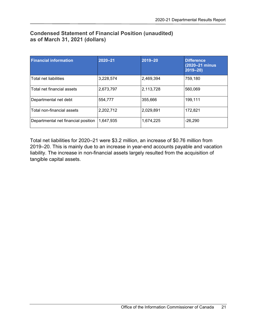### **Condensed Statement of Financial Position (unaudited) as of March 31, 2021 (dollars)**

| <b>Financial information</b>        | $2020 - 21$ | 2019-20   | <b>Difference</b><br>(2020-21 minus)<br>$2019 - 20$ |
|-------------------------------------|-------------|-----------|-----------------------------------------------------|
| Total net liabilities               | 3,228,574   | 2,469,394 | 759,180                                             |
| Total net financial assets          | 2,673,797   | 2,113,728 | 560,069                                             |
| Departmental net debt               | 554,777     | 355,666   | 199,111                                             |
| Total non-financial assets          | 2,202,712   | 2,029,891 | 172,821                                             |
| Departmental net financial position | 1,647,935   | 1,674,225 | $-26,290$                                           |

Total net liabilities for 2020–21 were \$3.2 million, an increase of \$0.76 million from 2019–20. This is mainly due to an increase in year-end accounts payable and vacation liability. The increase in non-financial assets largely resulted from the acquisition of tangible capital assets.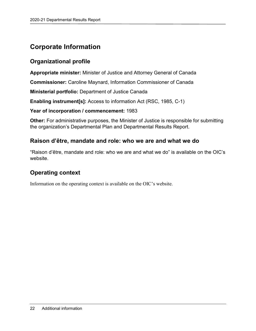# <span id="page-23-0"></span>**Corporate Information**

### <span id="page-23-1"></span>**Organizational profile**

**Appropriate minister:** Minister of Justice and Attorney General of Canada

**Commissioner:** Caroline Maynard, Information Commissioner of Canada

**Ministerial portfolio:** Department of Justice Canada

**Enabling instrument[s]:** Access to information Act (RSC, 1985, C-1)

### **Year of incorporation / commencement:** 1983

**Other:** For administrative purposes, the Minister of Justice is responsible for submitting the organization's Departmental Plan and Departmental Results Report.

### <span id="page-23-2"></span>**Raison d'être, mandate and role: who we are and what we do**

"Raison d'être, mandate and role: who we are and what we do" is available on the OIC's website.

### <span id="page-23-3"></span>**Operating context**

Information on the operating context is available on the OIC's website.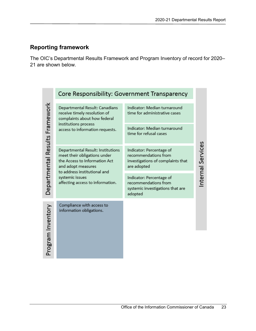### <span id="page-24-0"></span>**Reporting framework**

The OIC's Departmental Results Framework and Program Inventory of record for 2020– 21 are shown below.

|                                | Core Responsibility: Government Transparency                                                                                                                                                                    |                                                                                                      |                  |  |  |  |  |  |  |
|--------------------------------|-----------------------------------------------------------------------------------------------------------------------------------------------------------------------------------------------------------------|------------------------------------------------------------------------------------------------------|------------------|--|--|--|--|--|--|
| Departmental Results Framework | Departmental Result: Canadians<br>receive timely resolution of<br>complaints about how federal                                                                                                                  | Indicator: Median turnaround<br>time for administrative cases                                        |                  |  |  |  |  |  |  |
|                                | institutions process<br>access to information requests.                                                                                                                                                         | Indicator: Median turnaround<br>time for refusal cases                                               |                  |  |  |  |  |  |  |
|                                | Departmental Result: Institutions<br>meet their obligations under<br>the Access to Information Act<br>and adopt measures<br>to address institutional and<br>systemic issues<br>affecting access to information. | Indicator: Percentage of<br>recommendations from<br>investigations of complaints that<br>are adopted | nternal Services |  |  |  |  |  |  |
|                                |                                                                                                                                                                                                                 | Indicator: Percentage of<br>recommendations from<br>systemic investigations that are<br>adopted      |                  |  |  |  |  |  |  |
| Program Inventory              | Compliance with access to<br>information obligations.                                                                                                                                                           |                                                                                                      |                  |  |  |  |  |  |  |
|                                |                                                                                                                                                                                                                 |                                                                                                      |                  |  |  |  |  |  |  |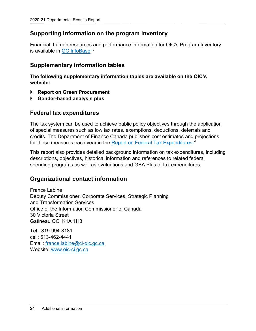### <span id="page-25-0"></span>**Supporting information on the program inventory**

Financial, human resources and performance information for OIC's Program Inventory is available in <u>GC InfoBase</u> <sup>iv</sup>

### <span id="page-25-1"></span>**Supplementary information tables**

**The following supplementary information tables are available on the OIC's website:**

- **Report on Green Procurement**
- <span id="page-25-2"></span>**Gender-based analysis plus**

### **Federal tax expenditures**

The tax system can be used to achieve public policy objectives through the application of special measures such as low tax rates, exemptions, deductions, deferrals and credits. The Department of Finance Canada publishes cost estimates and projections for these measures each year in the <u>Report on Federal Tax Expenditures.</u> <sup>v</sup>

This report also provides detailed background information on tax expenditures, including descriptions, objectives, historical information and references to related federal spending programs as well as evaluations and GBA Plus of tax expenditures.

### <span id="page-25-3"></span>**Organizational contact information**

France Labine Deputy Commissioner, Corporate Services, Strategic Planning and Transformation Services Office of the Information Commissioner of Canada 30 Victoria Street Gatineau QC K1A 1H3

 $Tel \cdot 819 - 994 - 8181$ cell: 613-462-4441 Email: [france.labine@ci-oic.gc.ca](mailto:france.labine@ci-oic.gc.ca) Website: [www.oic-ci.gc.ca](http://www.oic-ci.gc.ca/)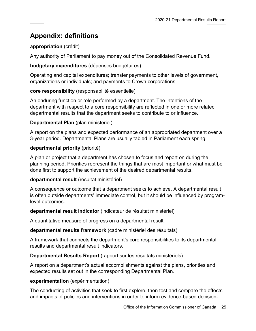# <span id="page-26-0"></span>**Appendix: definitions**

### **appropriation** (crédit)

Any authority of Parliament to pay money out of the Consolidated Revenue Fund.

### **budgetary expenditures** (dépenses budgétaires)

Operating and capital expenditures; transfer payments to other levels of government, organizations or individuals; and payments to Crown corporations.

### **core responsibility** (responsabilité essentielle)

An enduring function or role performed by a department. The intentions of the department with respect to a core responsibility are reflected in one or more related departmental results that the department seeks to contribute to or influence.

### **Departmental Plan** (plan ministériel)

A report on the plans and expected performance of an appropriated department over a 3-year period. Departmental Plans are usually tabled in Parliament each spring.

### **departmental priority** (priorité)

A plan or project that a department has chosen to focus and report on during the planning period. Priorities represent the things that are most important or what must be done first to support the achievement of the desired departmental results.

### **departmental result** (résultat ministériel)

A consequence or outcome that a department seeks to achieve. A departmental result is often outside departments' immediate control, but it should be influenced by programlevel outcomes.

### **departmental result indicator** (indicateur de résultat ministériel)

A quantitative measure of progress on a departmental result.

### **departmental results framework** (cadre ministériel des résultats)

A framework that connects the department's core responsibilities to its departmental results and departmental result indicators.

### **Departmental Results Report** (rapport sur les résultats ministériels)

A report on a department's actual accomplishments against the plans, priorities and expected results set out in the corresponding Departmental Plan.

### **experimentation** (expérimentation)

The conducting of activities that seek to first explore, then test and compare the effects and impacts of policies and interventions in order to inform evidence-based decision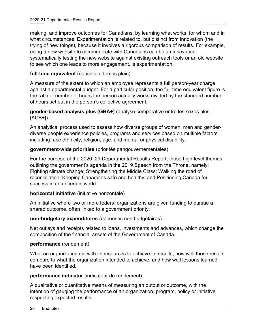making, and improve outcomes for Canadians, by learning what works, for whom and in what circumstances. Experimentation is related to, but distinct from innovation (the trying of new things), because it involves a rigorous comparison of results. For example, using a new website to communicate with Canadians can be an innovation; systematically testing the new website against existing outreach tools or an old website to see which one leads to more engagement, is experimentation.

### **full-time equivalent** (équivalent temps plein)

A measure of the extent to which an employee represents a full person-year charge against a departmental budget. For a particular position, the full-time equivalent figure is the ratio of number of hours the person actually works divided by the standard number of hours set out in the person's collective agreement.

### **gender-based analysis plus (GBA+)** (analyse comparative entre les sexes plus  $[ACS+])$

An analytical process used to assess how diverse groups of women, men and genderdiverse people experience policies, programs and services based on multiple factors including race ethnicity, religion, age, and mental or physical disability.

### **government-wide priorities** (priorités pangouvernementales)

For the purpose of the 2020–21 Departmental Results Report, those high-level themes outlining the government's agenda in the 2019 Speech from the Throne, namely: Fighting climate change; Strengthening the Middle Class; Walking the road of reconciliation; Keeping Canadians safe and healthy; and Positioning Canada for success in an uncertain world.

#### **horizontal initiative** (initiative horizontale)

An initiative where two or more federal organizations are given funding to pursue a shared outcome, often linked to a government priority.

#### **non-budgetary expenditures** (dépenses non budgétaires)

Net outlays and receipts related to loans, investments and advances, which change the composition of the financial assets of the Government of Canada.

#### **performance** (rendement)

What an organization did with its resources to achieve its results, how well those results compare to what the organization intended to achieve, and how well lessons learned have been identified.

#### **performance indicator** (indicateur de rendement)

A qualitative or quantitative means of measuring an output or outcome, with the intention of gauging the performance of an organization, program, policy or initiative respecting expected results.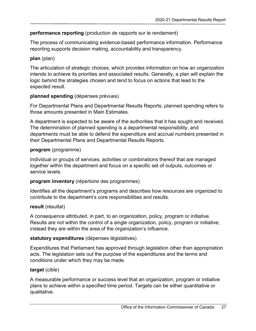### **performance reporting** (production de rapports sur le rendement)

The process of communicating evidence-based performance information. Performance reporting supports decision making, accountability and transparency.

#### **plan** (plan)

The articulation of strategic choices, which provides information on how an organization intends to achieve its priorities and associated results. Generally, a plan will explain the logic behind the strategies chosen and tend to focus on actions that lead to the expected result.

### **planned spending** (dépenses prévues)

For Departmental Plans and Departmental Results Reports, planned spending refers to those amounts presented in Main Estimates.

A department is expected to be aware of the authorities that it has sought and received. The determination of planned spending is a departmental responsibility, and departments must be able to defend the expenditure and accrual numbers presented in their Departmental Plans and Departmental Results Reports.

### **program** (programme)

Individual or groups of services, activities or combinations thereof that are managed together within the department and focus on a specific set of outputs, outcomes or service levels.

#### **program inventory** (répertoire des programmes)

Identifies all the department's programs and describes how resources are organized to contribute to the department's core responsibilities and results.

### **result** (résultat)

A consequence attributed, in part, to an organization, policy, program or initiative. Results are not within the control of a single organization, policy, program or initiative; instead they are within the area of the organization's influence.

#### **statutory expenditures** (dépenses législatives)

Expenditures that Parliament has approved through legislation other than appropriation acts. The legislation sets out the purpose of the expenditures and the terms and conditions under which they may be made.

#### **target** (cible)

A measurable performance or success level that an organization, program or initiative plans to achieve within a specified time period. Targets can be either quantitative or qualitative.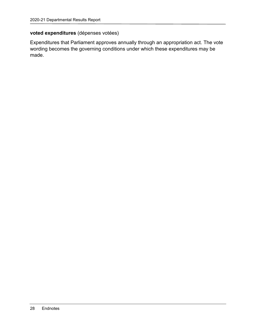### **voted expenditures** (dépenses votées)

Expenditures that Parliament approves annually through an appropriation act. The vote wording becomes the governing conditions under which these expenditures may be made.